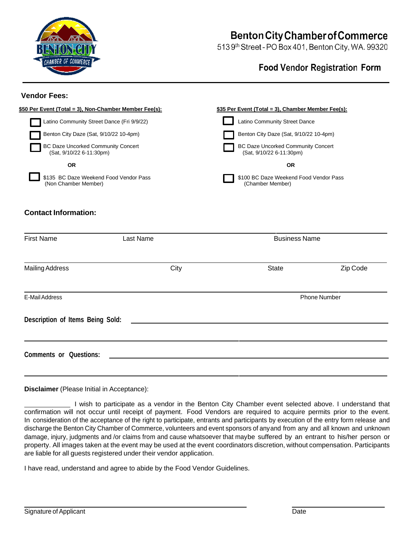

# **Benton City Chamber of Commerce**

513 9th Street - PO Box 401, Benton City, WA. 99320

# **Food Vendor Registration Form**

#### **Vendor Fees:**



## **Contact Information:**

| <b>First Name</b>                | Last Name | <b>Business Name</b> |          |
|----------------------------------|-----------|----------------------|----------|
| <b>Mailing Address</b>           | City      | <b>State</b>         | Zip Code |
| E-Mail Address                   |           | <b>Phone Number</b>  |          |
| Description of Items Being Sold: |           |                      |          |
| <b>Comments or Questions:</b>    |           |                      |          |

**Disclaimer** (Please Initial in Acceptance):

 I wish to participate as a vendor in the Benton City Chamber event selected above. I understand that confirmation will not occur until receipt of payment. Food Vendors are required to acquire permits prior to the event. In consideration of the acceptance of the right to participate, entrants and participants by execution of the entry form release and discharge the Benton City Chamber of Commerce, volunteers and event sponsors of anyand from any and all known and unknown damage, injury, judgments and /or claims from and cause whatsoever that maybe suffered by an entrant to his/her person or property. All images taken at the event may be used at the event coordinators discretion, without compensation. Participants are liable for all guests registered under their vendor application.

I have read, understand and agree to abide by the Food Vendor Guidelines.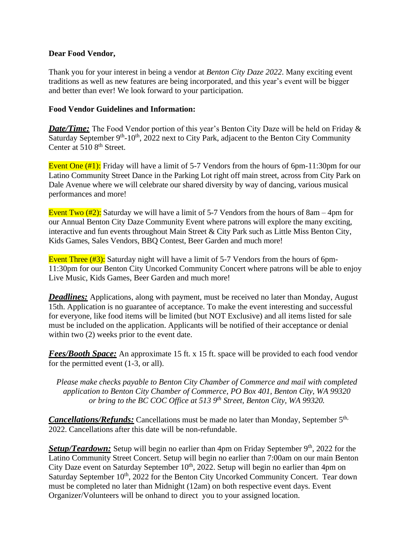#### **Dear Food Vendor,**

Thank you for your interest in being a vendor at *Benton City Daze 2022*. Many exciting event traditions as well as new features are being incorporated, and this year's event will be bigger and better than ever! We look forward to your participation.

## **Food Vendor Guidelines and Information:**

*Date/Time:* The Food Vendor portion of this year's Benton City Daze will be held on Friday & Saturday September 9<sup>th</sup>-10<sup>th</sup>, 2022 next to City Park, adjacent to the Benton City Community Center at 510 8<sup>th</sup> Street.

Event One (#1): Friday will have a limit of 5-7 Vendors from the hours of 6pm-11:30pm for our Latino Community Street Dance in the Parking Lot right off main street, across from City Park on Dale Avenue where we will celebrate our shared diversity by way of dancing, various musical performances and more!

Event Two  $(\frac{\#2}{2})$ : Saturday we will have a limit of 5-7 Vendors from the hours of 8am – 4pm for our Annual Benton City Daze Community Event where patrons will explore the many exciting, interactive and fun events throughout Main Street & City Park such as Little Miss Benton City, Kids Games, Sales Vendors, BBQ Contest, Beer Garden and much more!

Event Three (#3): Saturday night will have a limit of 5-7 Vendors from the hours of 6pm-11:30pm for our Benton City Uncorked Community Concert where patrons will be able to enjoy Live Music, Kids Games, Beer Garden and much more!

*Deadlines:* Applications, along with payment, must be received no later than Monday, August 15th. Application is no guarantee of acceptance. To make the event interesting and successful for everyone, like food items will be limited (but NOT Exclusive) and all items listed for sale must be included on the application. Applicants will be notified of their acceptance or denial within two  $(2)$  weeks prior to the event date.

*Fees/Booth Space:* An approximate 15 ft. x 15 ft. space will be provided to each food vendor for the permitted event (1-3, or all).

*Please make checks payable to Benton City Chamber of Commerce and mail with completed application to Benton City Chamber of Commerce, PO Box 401, Benton City, WA 99320 or bring to the BC COC Office at 513 9 th Street, Benton City, WA 99320.*

Cancellations/Refunds: Cancellations must be made no later than Monday, September 5<sup>th,</sup> 2022. Cancellations after this date will be non-refundable.

Setup/Teardown: Setup will begin no earlier than 4pm on Friday September 9<sup>th</sup>, 2022 for the Latino Community Street Concert. Setup will begin no earlier than 7:00am on our main Benton City Daze event on Saturday September  $10<sup>th</sup>$ , 2022. Setup will begin no earlier than 4pm on Saturday September 10<sup>th</sup>, 2022 for the Benton City Uncorked Community Concert. Tear down must be completed no later than Midnight (12am) on both respective event days. Event Organizer/Volunteers will be onhand to direct you to your assigned location.